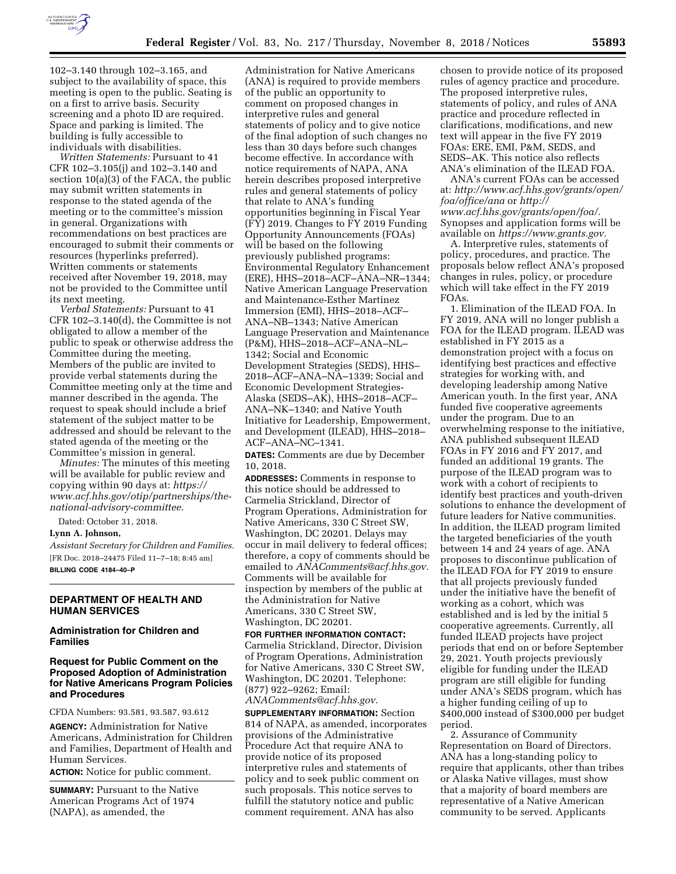

102–3.140 through 102–3.165, and subject to the availability of space, this meeting is open to the public. Seating is on a first to arrive basis. Security screening and a photo ID are required. Space and parking is limited. The building is fully accessible to individuals with disabilities.

*Written Statements:* Pursuant to 41 CFR 102–3.105(j) and 102–3.140 and section 10(a)(3) of the FACA, the public may submit written statements in response to the stated agenda of the meeting or to the committee's mission in general. Organizations with recommendations on best practices are encouraged to submit their comments or resources (hyperlinks preferred). Written comments or statements received after November 19, 2018, may not be provided to the Committee until its next meeting.

*Verbal Statements:* Pursuant to 41 CFR 102–3.140(d), the Committee is not obligated to allow a member of the public to speak or otherwise address the Committee during the meeting. Members of the public are invited to provide verbal statements during the Committee meeting only at the time and manner described in the agenda. The request to speak should include a brief statement of the subject matter to be addressed and should be relevant to the stated agenda of the meeting or the Committee's mission in general.

*Minutes:* The minutes of this meeting will be available for public review and copying within 90 days at: *[https://](https://www.acf.hhs.gov/otip/partnerships/the-national-advisory-committee) [www.acf.hhs.gov/otip/partnerships/the](https://www.acf.hhs.gov/otip/partnerships/the-national-advisory-committee)[national-advisory-committee.](https://www.acf.hhs.gov/otip/partnerships/the-national-advisory-committee)* 

Dated: October 31, 2018.

### **Lynn A. Johnson,**

*Assistant Secretary for Children and Families.*  [FR Doc. 2018–24475 Filed 11–7–18; 8:45 am] **BILLING CODE 4184–40–P** 

# **DEPARTMENT OF HEALTH AND HUMAN SERVICES**

## **Administration for Children and Families**

# **Request for Public Comment on the Proposed Adoption of Administration for Native Americans Program Policies and Procedures**

CFDA Numbers: 93.581, 93.587, 93.612

**AGENCY:** Administration for Native Americans, Administration for Children and Families, Department of Health and Human Services.

**ACTION:** Notice for public comment.

**SUMMARY:** Pursuant to the Native American Programs Act of 1974 (NAPA), as amended, the

Administration for Native Americans (ANA) is required to provide members of the public an opportunity to comment on proposed changes in interpretive rules and general statements of policy and to give notice of the final adoption of such changes no less than 30 days before such changes become effective. In accordance with notice requirements of NAPA, ANA herein describes proposed interpretive rules and general statements of policy that relate to ANA's funding opportunities beginning in Fiscal Year (FY) 2019. Changes to FY 2019 Funding Opportunity Announcements (FOAs) will be based on the following previously published programs: Environmental Regulatory Enhancement (ERE), HHS–2018–ACF–ANA–NR–1344; Native American Language Preservation and Maintenance-Esther Martinez Immersion (EMI), HHS–2018–ACF– ANA–NB–1343; Native American Language Preservation and Maintenance (P&M), HHS–2018–ACF–ANA–NL– 1342; Social and Economic Development Strategies (SEDS), HHS– 2018–ACF–ANA–NA–1339; Social and Economic Development Strategies-Alaska (SEDS–AK), HHS–2018–ACF– ANA–NK–1340; and Native Youth Initiative for Leadership, Empowerment, and Development (ILEAD), HHS–2018– ACF–ANA–NC–1341.

**DATES:** Comments are due by December 10, 2018.

**ADDRESSES:** Comments in response to this notice should be addressed to Carmelia Strickland, Director of Program Operations, Administration for Native Americans, 330 C Street SW, Washington, DC 20201. Delays may occur in mail delivery to federal offices; therefore, a copy of comments should be emailed to *[ANAComments@acf.hhs.gov.](mailto:ANAComments@acf.hhs.gov)*  Comments will be available for inspection by members of the public at the Administration for Native Americans, 330 C Street SW, Washington, DC 20201.

#### **FOR FURTHER INFORMATION CONTACT:**

Carmelia Strickland, Director, Division of Program Operations, Administration for Native Americans, 330 C Street SW, Washington, DC 20201. Telephone: (877) 922–9262; Email: *[ANAComments@acf.hhs.gov.](mailto:ANAComments@acf.hhs.gov)* 

**SUPPLEMENTARY INFORMATION:** Section 814 of NAPA, as amended, incorporates provisions of the Administrative Procedure Act that require ANA to provide notice of its proposed interpretive rules and statements of policy and to seek public comment on such proposals. This notice serves to fulfill the statutory notice and public comment requirement. ANA has also

chosen to provide notice of its proposed rules of agency practice and procedure. The proposed interpretive rules, statements of policy, and rules of ANA practice and procedure reflected in clarifications, modifications, and new text will appear in the five FY 2019 FOAs: ERE, EMI, P&M, SEDS, and SEDS–AK. This notice also reflects ANA's elimination of the ILEAD FOA.

ANA's current FOAs can be accessed at: *[http://www.acf.hhs.gov/grants/open/](http://www.acf.hhs.gov/grants/open/foa/office/ana) [foa/office/ana](http://www.acf.hhs.gov/grants/open/foa/office/ana)* or *[http://](http://www.acf.hhs.gov/grants/open/foa/) [www.acf.hhs.gov/grants/open/foa/.](http://www.acf.hhs.gov/grants/open/foa/)*  Synopses and application forms will be available on *[https://www.grants.gov.](https://www.grants.gov)* 

A. Interpretive rules, statements of policy, procedures, and practice. The proposals below reflect ANA's proposed changes in rules, policy, or procedure which will take effect in the FY 2019 FOAs.

1. Elimination of the ILEAD FOA. In FY 2019, ANA will no longer publish a FOA for the ILEAD program. ILEAD was established in FY 2015 as a demonstration project with a focus on identifying best practices and effective strategies for working with, and developing leadership among Native American youth. In the first year, ANA funded five cooperative agreements under the program. Due to an overwhelming response to the initiative, ANA published subsequent ILEAD FOAs in FY 2016 and FY 2017, and funded an additional 19 grants. The purpose of the ILEAD program was to work with a cohort of recipients to identify best practices and youth-driven solutions to enhance the development of future leaders for Native communities. In addition, the ILEAD program limited the targeted beneficiaries of the youth between 14 and 24 years of age. ANA proposes to discontinue publication of the ILEAD FOA for FY 2019 to ensure that all projects previously funded under the initiative have the benefit of working as a cohort, which was established and is led by the initial 5 cooperative agreements. Currently, all funded ILEAD projects have project periods that end on or before September 29, 2021. Youth projects previously eligible for funding under the ILEAD program are still eligible for funding under ANA's SEDS program, which has a higher funding ceiling of up to \$400,000 instead of \$300,000 per budget period.

2. Assurance of Community Representation on Board of Directors. ANA has a long-standing policy to require that applicants, other than tribes or Alaska Native villages, must show that a majority of board members are representative of a Native American community to be served. Applicants